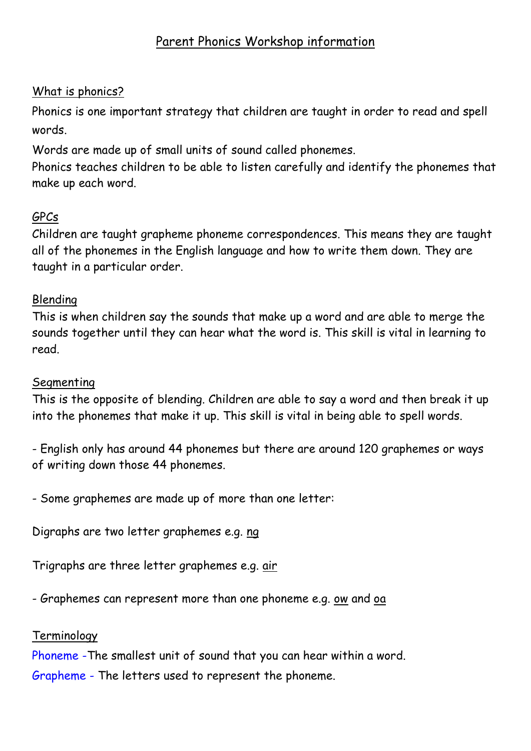# Parent Phonics Workshop information

## What is phonics?

Phonics is one important strategy that children are taught in order to read and spell words.

Words are made up of small units of sound called phonemes.

Phonics teaches children to be able to listen carefully and identify the phonemes that make up each word.

# GPCs

Children are taught grapheme phoneme correspondences. This means they are taught all of the phonemes in the English language and how to write them down. They are taught in a particular order.

## Blending

This is when children say the sounds that make up a word and are able to merge the sounds together until they can hear what the word is. This skill is vital in learning to read.

## Segmenting

This is the opposite of blending. Children are able to say a word and then break it up into the phonemes that make it up. This skill is vital in being able to spell words.

- English only has around 44 phonemes but there are around 120 graphemes or ways of writing down those 44 phonemes.

- Some graphemes are made up of more than one letter:

Digraphs are two letter graphemes e.g. ng

Trigraphs are three letter graphemes e.g. air

- Graphemes can represent more than one phoneme e.g. ow and oa

## Terminology

Phoneme -The smallest unit of sound that you can hear within a word.

Grapheme - The letters used to represent the phoneme.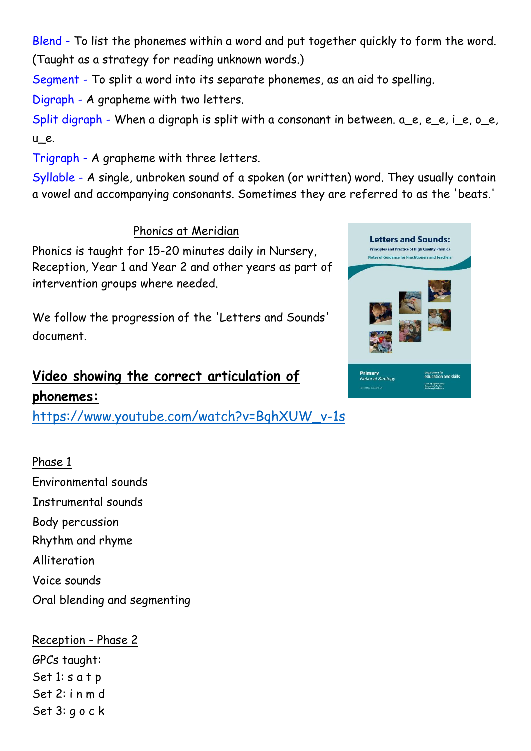Blend - To list the phonemes within a word and put together quickly to form the word. (Taught as a strategy for reading unknown words.)

Segment - To split a word into its separate phonemes, as an aid to spelling.

Digraph - A grapheme with two letters.

Split digraph - When a digraph is split with a consonant in between,  $a$  e, e e, i\_e, o\_e, u\_e.

Trigraph - A grapheme with three letters.

Syllable - A single, unbroken sound of a spoken (or written) word. They usually contain a vowel and accompanying consonants. Sometimes they are referred to as the 'beats.'

Phonics at Meridian

Phonics is taught for 15-20 minutes daily in Nursery, Reception, Year 1 and Year 2 and other years as part of intervention groups where needed.

We follow the progression of the 'Letters and Sounds' document.

# **Video showing the correct articulation of phonemes:**

[https://www.youtube.com/watch?v=BqhXUW\\_v-1s](https://www.youtube.com/watch?v=BqhXUW_v-1s)

Phase 1 Environmental sounds Instrumental sounds Body percussion Rhythm and rhyme Alliteration Voice sounds Oral blending and segmenting

Reception - Phase 2 GPCs taught: Set 1: s a t p Set 2: i n m d Set 3: g o c k

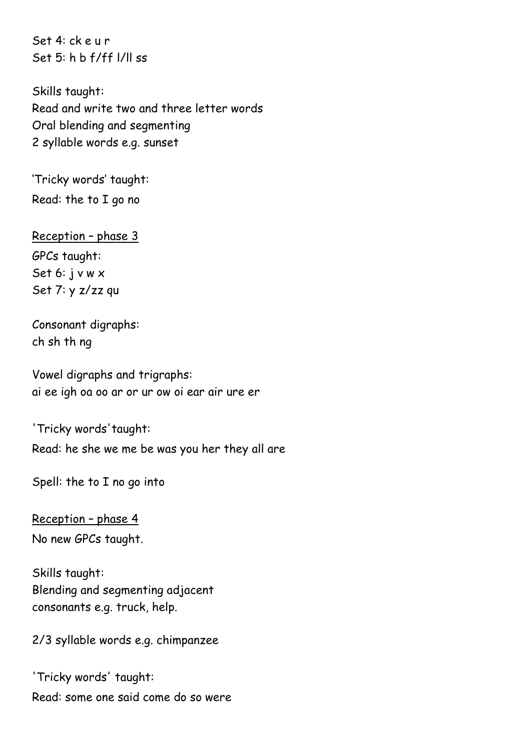Set 4: ck e u r Set 5: h b f/ff l/ll ss

Skills taught: Read and write two and three letter words Oral blending and segmenting 2 syllable words e.g. sunset

'Tricky words' taught: Read: the to I go no

Reception – phase 3 GPCs taught: Set 6: j v w x Set 7: y z/zz qu

Consonant digraphs: ch sh th ng

Vowel digraphs and trigraphs: ai ee igh oa oo ar or ur ow oi ear air ure er

'Tricky words'taught: Read: he she we me be was you her they all are

Spell: the to I no go into

Reception – phase 4 No new GPCs taught.

Skills taught: Blending and segmenting adjacent consonants e.g. truck, help.

2/3 syllable words e.g. chimpanzee

'Tricky words' taught: Read: some one said come do so were